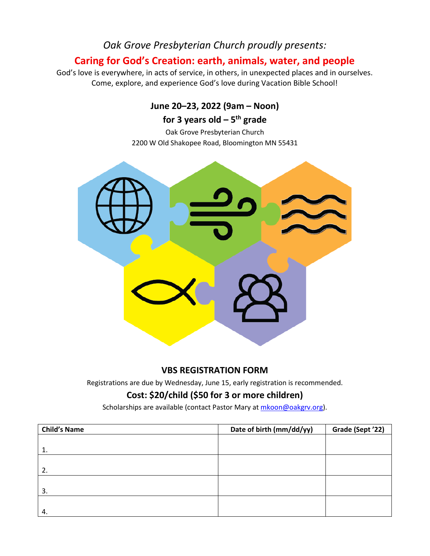# *Oak Grove Presbyterian Church proudly presents:*

# **Caring for God's Creation: earth, animals, water, and people**

God's love is everywhere, in acts of service, in others, in unexpected places and in ourselves. Come, explore, and experience God's love during Vacation Bible School!

# **June 20–23, 2022 (9am – Noon)**

# **for 3 years old – 5th grade**

Oak Grove Presbyterian Church 2200 W Old Shakopee Road, Bloomington MN 55431



### **VBS REGISTRATION FORM**

Registrations are due by Wednesday, June 15, early registration is recommended.

## **Cost: \$20/child (\$50 for 3 or more children)**

Scholarships are available (contact Pastor Mary at mkoon@oakgrv.org).

| <b>Child's Name</b> | Date of birth (mm/dd/yy) | Grade (Sept '22) |
|---------------------|--------------------------|------------------|
|                     |                          |                  |
| -1.                 |                          |                  |
|                     |                          |                  |
| 2.                  |                          |                  |
|                     |                          |                  |
| 3.                  |                          |                  |
|                     |                          |                  |
| 4.                  |                          |                  |